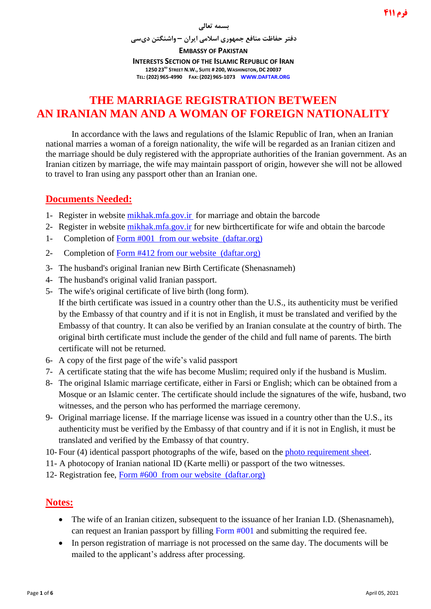#### **بسمه تعالی**

**دفتر حفاظت منافع جمهوری اسالمی ایران – واشنگتن دیسی**

**EMBASSY OF PAKISTAN INTERESTS SECTION OF THE ISLAMIC REPUBLIC OF IRAN 1250 23RD STREET N.W., SUITE # 200, WASHINGTON, DC 20037 TEL: (202) 965-4990 FAX: (202) 965-1073 WWW.DAFTAR.ORG**

# **THE MARRIAGE REGISTRATION BETWEEN AN IRANIAN MAN AND A WOMAN OF FOREIGN NATIONALITY**

In accordance with the laws and regulations of the Islamic Republic of Iran, when an Iranian national marries a woman of a foreign nationality, the wife will be regarded as an Iranian citizen and the marriage should be duly registered with the appropriate authorities of the Iranian government. As an Iranian citizen by marriage, the wife may maintain passport of origin, however she will not be allowed to travel to Iran using any passport other than an Iranian one.

## **Documents Needed:**

- 1- Register in website [mikhak.mfa.gov.ir](https://mikhak.mfa.gov.ir/) for marriage and obtain the barcode
- 2- Register in website [mikhak.mfa.gov.ir](https://mikhak.mfa.gov.ir/) for new birthcertificate for wife and obtain the barcode
- 1- Completion of [Form #001](http://www.daftar.org/forms/passports/001.pdf) from our website [\(daftar.org\)](http://www.daftar.org/)
- 2- Completion of [Form #412](http://www.daftar.org/forms/vitalrecords/marriage/412.pdf) from our website [\(daftar.org\)](http://www.daftar.org/)
- 3- The husband's original Iranian new Birth Certificate (Shenasnameh)
- 4- The husband's original valid Iranian passport.
- 5- The wife's original certificate of live birth (long form).

If the birth certificate was issued in a country other than the U.S., its authenticity must be verified by the Embassy of that country and if it is not in English, it must be translated and verified by the Embassy of that country. It can also be verified by an Iranian consulate at the country of birth. The original birth certificate must include the gender of the child and full name of parents. The birth certificate will not be returned.

- 6- A copy of the first page of the wife's valid passport
- 7- A certificate stating that the wife has become Muslim; required only if the husband is Muslim.
- 8- The original Islamic marriage certificate, either in Farsi or English; which can be obtained from a Mosque or an Islamic center. The certificate should include the signatures of the wife, husband, two witnesses, and the person who has performed the marriage ceremony.
- 9- Original marriage license. If the marriage license was issued in a country other than the U.S., its authenticity must be verified by the Embassy of that country and if it is not in English, it must be translated and verified by the Embassy of that country.
- 10- Four (4) identical passport photographs of the wife, based on the [photo requirement sheet.](http://www.daftar.org/forms/socialaffairs/photog.pdf)
- 11- A photocopy of Iranian national ID (Karte melli) or passport of the two witnesses.
- 12- Registration fee, [Form #600](http://www.daftar.org/forms/fees/600.pdf) from our website [\(daftar.org\)](http://www.daftar.org/)

### **Notes:**

- The wife of an Iranian citizen, subsequent to the issuance of her Iranian I.D. (Shenasnameh), can request an Iranian passport by filling [Form #001](http://www.daftar.org/forms/passports/001.pdf) and submitting the required fee.
- In person registration of marriage is not processed on the same day. The documents will be mailed to the applicant's address after processing.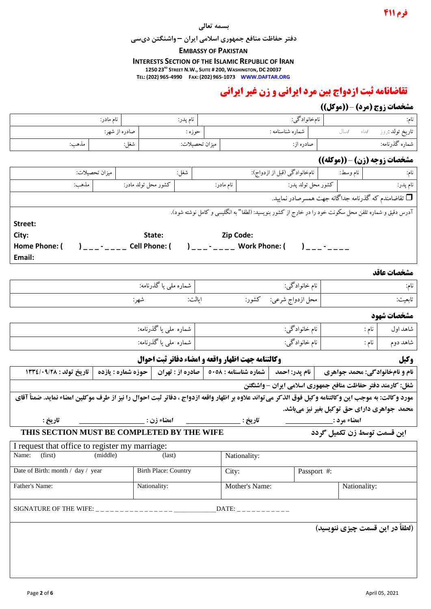## **فرم 144**

#### **بسمه تعالی**

**دفتر حفاظت منافع جمهوری اسالمی ایران – واشنگتن دیسی**

#### **EMBASSY OF PAKISTAN**

**INTERESTS SECTION OF THE ISLAMIC REPUBLIC OF IRAN**

**1250 23RD STREET N.W., SUITE # 200, WASHINGTON, DC 20037**

**TEL: (202) 965-4990 FAX: (202) 965-1073 WWW.DAFTAR.ORG**

# **تقاضانامه ثبت ازدواج بین مرد ایرانی و زن غیر ایرانی**

# **مشخصات زوج )مرد(** – **))موکل((**

|                                                                                                                                                                                                                    |              |                     |                                   |                                                                                                                 |                            |                        |                                |                   | $\frac{1}{2}$ $\frac{1}{2}$ $\frac{1}{2}$ $\frac{1}{2}$ $\frac{1}{2}$ $\frac{1}{2}$ |                   |
|--------------------------------------------------------------------------------------------------------------------------------------------------------------------------------------------------------------------|--------------|---------------------|-----------------------------------|-----------------------------------------------------------------------------------------------------------------|----------------------------|------------------------|--------------------------------|-------------------|-------------------------------------------------------------------------------------|-------------------|
| نام مادر:                                                                                                                                                                                                          |              |                     | نام پدر:                          | نامخانوادگي:                                                                                                    |                            |                        |                                |                   | نام:                                                                                |                   |
|                                                                                                                                                                                                                    |              | صادره از شهر:       | حوزه :                            |                                                                                                                 | شماره شناسنامه :           |                        |                                | /ماه /سال         | تاريخ تولد :روز                                                                     |                   |
| مذهب:                                                                                                                                                                                                              |              | شغل:                | ميزان تحصيلات:                    |                                                                                                                 |                            |                        | صادره از:                      |                   |                                                                                     | شماره گذرنامه:    |
| <b>مشخصات زوجه (زن) -((موكله))</b>                                                                                                                                                                                 |              |                     |                                   |                                                                                                                 |                            |                        |                                |                   |                                                                                     |                   |
| ميزان تحصيلات:                                                                                                                                                                                                     |              | شغل:                |                                   | نامخانوادگی (قبل از ازدواج):                                                                                    |                            |                        | نام وسط:                       | نام:              |                                                                                     |                   |
| مذهب:                                                                                                                                                                                                              |              | كشور محل تولد مادر: |                                   |                                                                                                                 | نام مادر:                  |                        |                                |                   | كشور محل تولد پدر:<br>نام پدر:                                                      |                   |
| تقاضامندم که گذرنامه جداگانه جهت همسرصادر نمایید. $\Box$                                                                                                                                                           |              |                     |                                   |                                                                                                                 |                            |                        |                                |                   |                                                                                     |                   |
| آدرس دقیق و شماره تلفن محل سکونت خود را در خارج از کشور بنویسید: (لطفا" به انگلیسی و کامل نوشته شود).                                                                                                              |              |                     |                                   |                                                                                                                 |                            |                        |                                |                   |                                                                                     |                   |
| Street:                                                                                                                                                                                                            |              |                     |                                   |                                                                                                                 |                            |                        |                                |                   |                                                                                     |                   |
| City:                                                                                                                                                                                                              |              |                     | State:                            |                                                                                                                 | <b>Example 2</b> Sip Code: |                        |                                |                   |                                                                                     |                   |
| Home Phone: (                                                                                                                                                                                                      |              |                     |                                   |                                                                                                                 |                            |                        |                                |                   | $)$ $      -$                                                                       |                   |
| Email:                                                                                                                                                                                                             |              |                     |                                   |                                                                                                                 |                            |                        |                                |                   |                                                                                     |                   |
|                                                                                                                                                                                                                    |              |                     |                                   |                                                                                                                 |                            |                        |                                |                   |                                                                                     | مشخصات عاقد       |
|                                                                                                                                                                                                                    |              |                     | شماره مل <sub>ی</sub> یا گذرنامه: |                                                                                                                 |                            |                        | نام خانوادگی:                  |                   |                                                                                     | نام:              |
|                                                                                                                                                                                                                    |              | شهر:                |                                   | ايالت:                                                                                                          |                            | محل ازدواج شرعی: کشور: |                                |                   | تابعيت:                                                                             |                   |
|                                                                                                                                                                                                                    |              |                     |                                   |                                                                                                                 |                            |                        |                                |                   |                                                                                     | مشخصات شهود       |
| شماره ملی یا گذرنامه:                                                                                                                                                                                              |              |                     |                                   |                                                                                                                 |                            | نام خانوادگی:          |                                |                   |                                                                                     | شاهد اول<br>نام : |
| شماره ملی یا گذرنامه:                                                                                                                                                                                              |              |                     |                                   | نام خانوادگی:                                                                                                   |                            |                        |                                | شاهد دوم<br>نام : |                                                                                     |                   |
|                                                                                                                                                                                                                    |              |                     |                                   |                                                                                                                 |                            |                        |                                |                   |                                                                                     | وكيل              |
| تاريخ تولد : ١٣٣٤/٠٩/٢٨                                                                                                                                                                                            |              | حوزه شماره : يازده  |                                   | وكالتنامه جهت اظهار واقعه و امضاء دفاتر ثبت احوال<br>  نام پدر: احمد   شماره شناسنامه : ٥٠٥٨   صادره از : تهران |                            |                        | نام و نامخانوادگی: محمد جواهری |                   |                                                                                     |                   |
|                                                                                                                                                                                                                    |              |                     |                                   |                                                                                                                 |                            |                        |                                |                   |                                                                                     |                   |
| شغل: کارمند دفتر حفاظت منافع جمهوری اسلامی ایران - واشنگتن<br>مورد وكالت: به موجب اين وكالتنامه وكيل فوق الذكر مي تواند علاوه بر اظهار واقعه ازدواج ، دفاتر ثبت احوال را نيز از طرف موكلين امضاء نمايد. ضمناً آقاي |              |                     |                                   |                                                                                                                 |                            |                        |                                |                   |                                                                                     |                   |
| محمد جواهري داراي حق توكيل بغير نيز ميباشد.                                                                                                                                                                        |              |                     |                                   |                                                                                                                 |                            |                        |                                |                   |                                                                                     |                   |
| امضاء زن : _<br>تاريخ :                                                                                                                                                                                            |              |                     |                                   |                                                                                                                 |                            | تاريخ :                |                                |                   | امضاء مرد : <sub>-</sub>                                                            |                   |
| THIS SECTION MUST BE COMPLETED BY THE WIFE<br>این قسمت توسط زن تکمیل گردد                                                                                                                                          |              |                     |                                   |                                                                                                                 |                            |                        |                                |                   |                                                                                     |                   |
| I request that office to register my marriage:                                                                                                                                                                     |              |                     |                                   |                                                                                                                 |                            |                        |                                |                   |                                                                                     |                   |
| (first)<br>Name:                                                                                                                                                                                                   | (middle)     |                     | $\text{(last)}$                   |                                                                                                                 |                            | Nationality:           |                                |                   |                                                                                     |                   |
| Date of Birth: month / day / year<br><b>Birth Place: Country</b>                                                                                                                                                   |              |                     |                                   | Passport #:<br>City:                                                                                            |                            |                        |                                |                   |                                                                                     |                   |
| Father's Name:                                                                                                                                                                                                     | Nationality: |                     |                                   | Mother's Name:                                                                                                  |                            |                        |                                | Nationality:      |                                                                                     |                   |
| DATE:                                                                                                                                                                                                              |              |                     |                                   |                                                                                                                 |                            |                        |                                |                   |                                                                                     |                   |
| SIGNATURE OF THE WIFE: $\frac{1}{2}$                                                                                                                                                                               |              |                     |                                   |                                                                                                                 |                            |                        |                                |                   |                                                                                     |                   |
|                                                                                                                                                                                                                    |              |                     |                                   |                                                                                                                 |                            |                        |                                |                   | (لطفاً در این قسمت چیزی ننویسید)                                                    |                   |
|                                                                                                                                                                                                                    |              |                     |                                   |                                                                                                                 |                            |                        |                                |                   |                                                                                     |                   |
|                                                                                                                                                                                                                    |              |                     |                                   |                                                                                                                 |                            |                        |                                |                   |                                                                                     |                   |
|                                                                                                                                                                                                                    |              |                     |                                   |                                                                                                                 |                            |                        |                                |                   |                                                                                     |                   |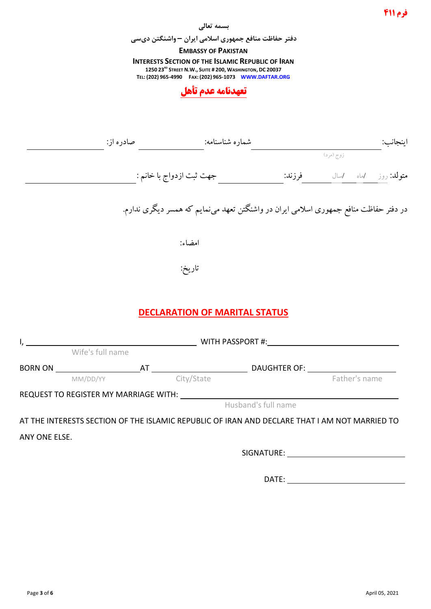#### **بسمه تعالی**

**دفتر حفاظت منافع جمهوری اسالمی ایران – واشنگتن دیسی**

#### **EMBASSY OF PAKISTAN**

**INTERESTS SECTION OF THE ISLAMIC REPUBLIC OF IRAN 1250 23RD STREET N.W., SUITE # 200, WASHINGTON, DC 20037 TEL: (202) 965-4990 FAX: (202) 965-1073 WWW.DAFTAR.ORG**



|               |                                                                                               |                                                                                       |                     | زوج (مرد)     |  |
|---------------|-----------------------------------------------------------------------------------------------|---------------------------------------------------------------------------------------|---------------------|---------------|--|
|               |                                                                                               |                                                                                       |                     |               |  |
|               |                                                                                               | در دفتر حفاظت منافع جمهوری اسلامی ایران در واشنگتن تعهد می،نمایم که همسر دیگری ندارم. |                     |               |  |
|               |                                                                                               | امضاء:                                                                                |                     |               |  |
|               |                                                                                               | تاريخ:                                                                                |                     |               |  |
|               |                                                                                               | <b>DECLARATION OF MARITAL STATUS</b>                                                  |                     |               |  |
|               |                                                                                               | <b>EXAMPLE 2018 WITH PASSPORT #:</b>                                                  |                     |               |  |
|               | Wife's full name                                                                              |                                                                                       |                     |               |  |
|               | <b>BORN ON</b><br>MM/DD/YY <b>AT</b><br>City/State <b>DAUGHTER OF:</b> Father's r             |                                                                                       |                     |               |  |
|               |                                                                                               |                                                                                       |                     | Father's name |  |
|               | REQUEST TO REGISTER MY MARRIAGE WITH:                                                         |                                                                                       |                     |               |  |
|               |                                                                                               |                                                                                       | Husband's full name |               |  |
|               | AT THE INTERESTS SECTION OF THE ISLAMIC REPUBLIC OF IRAN AND DECLARE THAT I AM NOT MARRIED TO |                                                                                       |                     |               |  |
| ANY ONE ELSE. |                                                                                               |                                                                                       |                     |               |  |
|               |                                                                                               |                                                                                       |                     |               |  |
|               |                                                                                               |                                                                                       | DATE:               |               |  |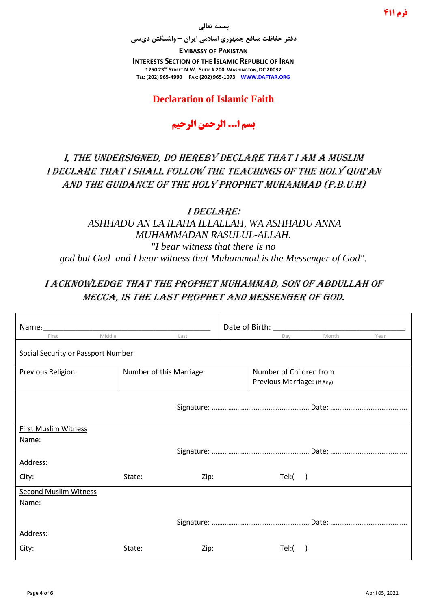#### **بسمه تعالی**

**دفتر حفاظت منافع جمهوری اسالمی ایران – واشنگتن دیسی**

**EMBASSY OF PAKISTAN INTERESTS SECTION OF THE ISLAMIC REPUBLIC OF IRAN 1250 23RD STREET N.W., SUITE # 200, WASHINGTON, DC 20037 TEL: (202) 965-4990 FAX: (202) 965-1073 WWW.DAFTAR.ORG**

## **Declaration of Islamic Faith**

# **بسم ا... الرحمن الرحیم**

# I, the undersigned, do hereby declare that I am a muslim I declare that I shall follow the teachings of the Holy Qur'an And the guidance of the Holy Prophet Muhammad (P.B.U.H)

## I declare: *ASHHADU AN LA ILAHA ILLALLAH, WA ASHHADU ANNA MUHAMMADAN RASULUL-ALLAH. "I bear witness that there is no god but God and I bear witness that Muhammad is the Messenger of God".*

# I acknowledge that the Prophet Muhammad, son of Abdullah of Mecca, is the last prophet and messenger of God.

| Name:                               |                          | Date of Birth: |                             |       |      |  |  |  |
|-------------------------------------|--------------------------|----------------|-----------------------------|-------|------|--|--|--|
| Middle<br>First                     | Last                     |                | Dav                         | Month | Year |  |  |  |
| Social Security or Passport Number: |                          |                |                             |       |      |  |  |  |
| Previous Religion:                  | Number of this Marriage: |                | Number of Children from     |       |      |  |  |  |
|                                     |                          |                | Previous Marriage: (If Any) |       |      |  |  |  |
|                                     |                          |                |                             |       |      |  |  |  |
| <b>First Muslim Witness</b>         |                          |                |                             |       |      |  |  |  |
| Name:                               |                          |                |                             |       |      |  |  |  |
|                                     |                          |                |                             |       |      |  |  |  |
| Address:                            |                          |                |                             |       |      |  |  |  |
| City:                               | State:<br>Zip:           |                | Tel: ( )                    |       |      |  |  |  |
| <b>Second Muslim Witness</b>        |                          |                |                             |       |      |  |  |  |
| Name:                               |                          |                |                             |       |      |  |  |  |
|                                     |                          |                |                             |       |      |  |  |  |
| Address:                            |                          |                |                             |       |      |  |  |  |
| City:                               | State:<br>Zip:           |                | Tel:(                       |       |      |  |  |  |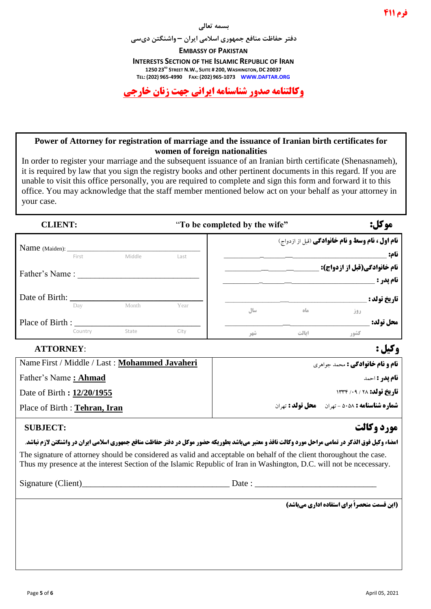

#### **Power of Attorney for registration of marriage and the issuance of Iranian birth certificates for women of foreign nationalities**

In order to register your marriage and the subsequent issuance of an Iranian birth certificate (Shenasnameh), it is required by law that you sign the registry books and other pertinent documents in this regard. If you are unable to visit this office personally, you are required to complete and sign this form and forward it to this office. You may acknowledge that the staff member mentioned below act on your behalf as your attorney in your case.

**CLIENT:** "**To be completed by the wife" :موکل**

|                      |         |        |      |     | <b>نام اول ، نام وسط و نام خانوادگی</b> (قبل از ازدواج) |      |                                                  |
|----------------------|---------|--------|------|-----|---------------------------------------------------------|------|--------------------------------------------------|
| Name (Maiden): _____ | First   | Middle | Last |     |                                                         |      | نام:                                             |
| Father's Name:       |         |        |      |     |                                                         |      | <b>نام خانوادگی(قبل از ازدواج):</b><br>نام يدر : |
| Date of Birth:       | Day     | Month  | Year | سال | ماه                                                     | روز  | <b>تاريخ تولد :</b>                              |
| Place of Birth:      | Country | State  | City | شهر | ايالت                                                   | كشور | محل تولد:                                        |

# **وکیل :** :**ATTORNEY**

| Name First / Middle / Last : Mohammed Javaheri | <b>نام و نام خانوادگی :</b> محمد جواهری               |
|------------------------------------------------|-------------------------------------------------------|
| Father's Name: <b>Ahmad</b>                    | <b>نام یدر :</b> احمد                                 |
| Date of Birth : 12/20/1955                     | <b>تاريخ تولد: 18 / 13 / 1338</b>                     |
| Place of Birth : Tehran, Iran                  | <b>شماره شناسنامه : ۵۰۵۸ - تهران مصل تولد :</b> تهران |

## **مورد وکالت :SUBJECT**

#### **امضاء وکیل فوق الذکر در تمامی مراحل مورد وکالت نافذ و معتبر میباشد بطوریکه حضور موکل در دفتر حفاظت منافع جمهوری اسلامی ایران در واشنگتن لازم نباشد.**

The signature of attorney should be considered as valid and acceptable on behalf of the client thoroughout the case. Thus my presence at the interest Section of the Islamic Republic of Iran in Washington, D.C. will not be ncecessary.

Signature (Client)\_\_\_\_\_\_\_\_\_\_\_\_\_\_\_\_\_\_\_\_\_\_\_\_\_\_\_\_\_\_\_\_\_\_ Date : \_\_\_\_\_\_\_\_\_\_\_\_\_\_\_\_\_\_\_\_\_\_\_\_\_\_\_\_

**)این قسمت منحصراً برای استفاده اداری میباشد(**

**فرم 144**